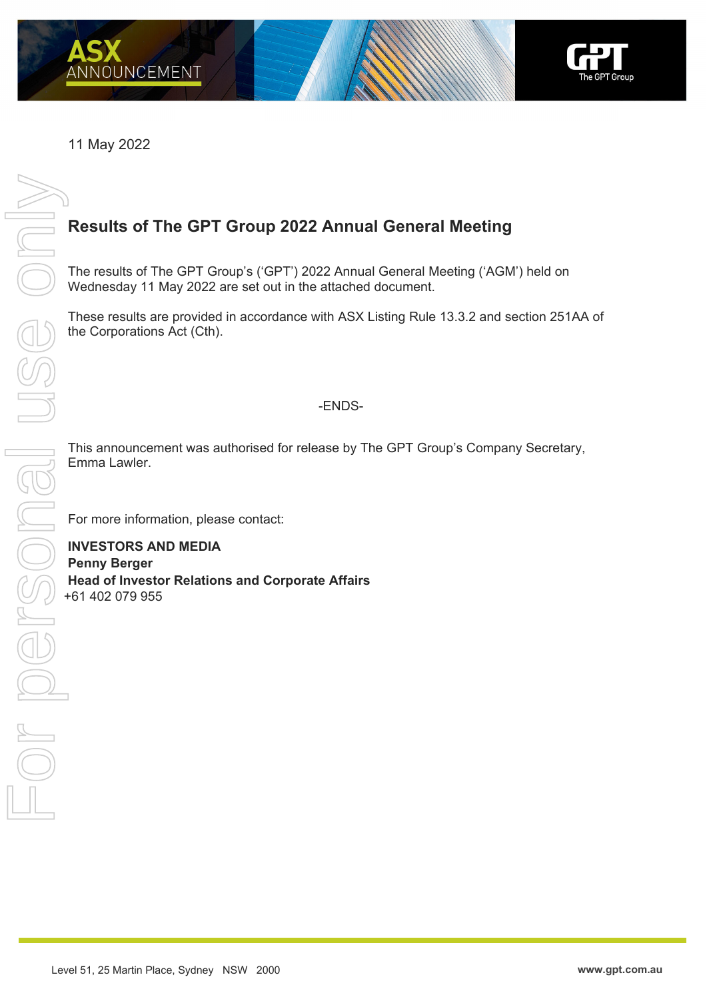

11 May 2022

## **Results of The GPT Group 2022 Annual General Meeting**

The results of The GPT Group's ('GPT') 2022 Annual General Meeting ('AGM') held on Wednesday 11 May 2022 are set out in the attached document.

These results are provided in accordance with ASX Listing Rule 13.3.2 and section 251AA of the Corporations Act (Cth).

## -ENDS-

This announcement was authorised for release by The GPT Group's Company Secretary, Emma Lawler.

For more information, please contact:

**INVESTORS AND MEDIA Penny Berger Head of Investor Relations and Corporate Affairs**